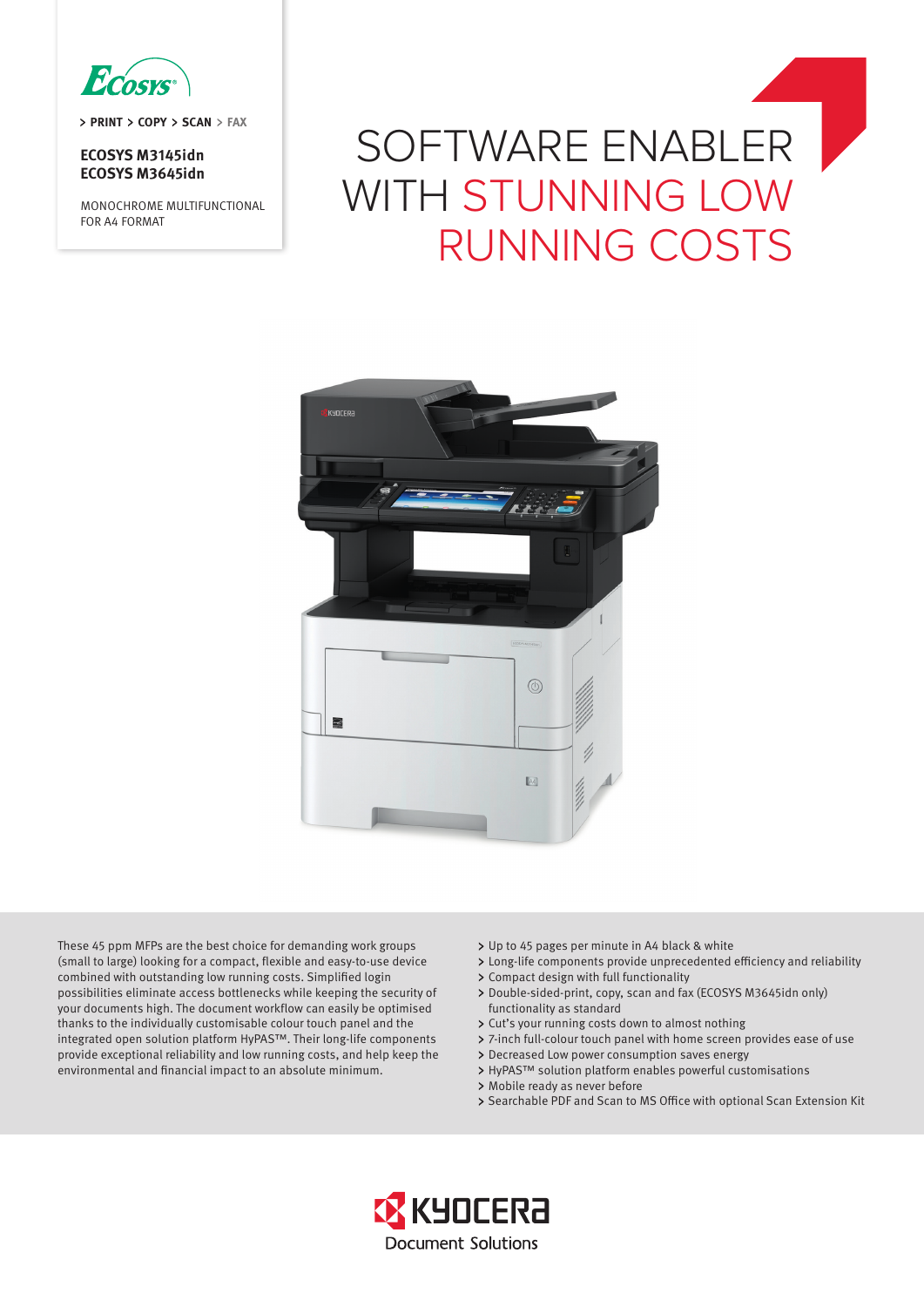

> PRINT > COPY > SCAN > FAX

## **ECOSYS M3145idn ECOSYS M3645idn**

MONOCHROME MULTIFUNCTIONAL FOR A4 FORMAT

# SOFTWARE ENABLER WITH STUNNING LOW RUNNING COSTS



These 45 ppm MFPs are the best choice for demanding work groups (small to large) looking for a compact, flexible and easy-to-use device combined with outstanding low running costs. Simplified login possibilities eliminate access bottlenecks while keeping the security of your documents high. The document workflow can easily be optimised thanks to the individually customisable colour touch panel and the integrated open solution platform HyPAS™. Their long-life components provide exceptional reliability and low running costs, and help keep the environmental and financial impact to an absolute minimum.

- Up to 45 pages per minute in A4 black & white
- Long-life components provide unprecedented efficiency and reliability
- > Compact design with full functionality
- Double-sided-print, copy, scan and fax (ECOSYS M3645idn only) functionality as standard
- Cut's your running costs down to almost nothing
- 7-inch full-colour touch panel with home screen provides ease of use
- Decreased Low power consumption saves energy
	- > HyPAS™ solution platform enables powerful customisations
	- > Mobile ready as never before
	- > Searchable PDF and Scan to MS Office with optional Scan Extension Kit